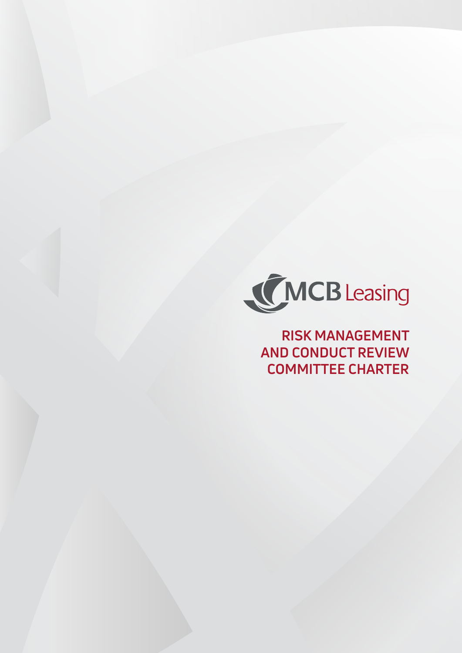

**RISK MANAGEMENT AND CONDUCT REVIEW COMMITTEE CHARTER**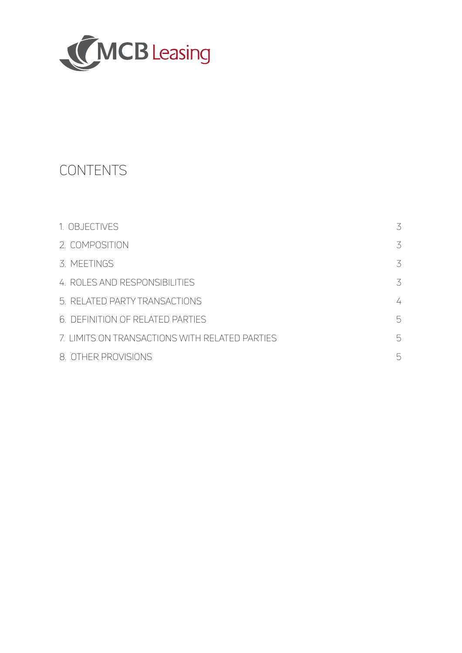

# CONTENTS

| 1. OBJECTIVES                                  | 3 |
|------------------------------------------------|---|
| 2. COMPOSITION                                 | 3 |
| 3. MEETINGS                                    | 3 |
| 4. ROLES AND RESPONSIBILITIES                  | 3 |
| 5. RELATED PARTY TRANSACTIONS                  | 4 |
| 6. DEFINITION OF RELATED PARTIES               | 5 |
| 7. LIMITS ON TRANSACTIONS WITH RELATED PARTIES | 5 |
| 8. OTHER PROVISIONS                            | 5 |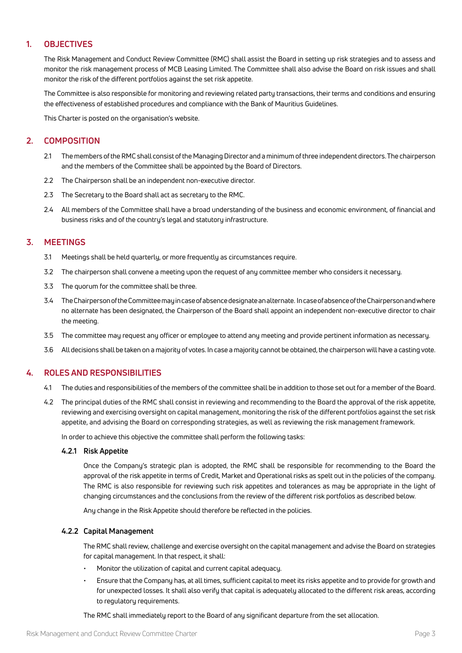# **1. OBJECTIVES**

The Risk Management and Conduct Review Committee (RMC) shall assist the Board in setting up risk strategies and to assess and monitor the risk management process of MCB Leasing Limited. The Committee shall also advise the Board on risk issues and shall monitor the risk of the different portfolios against the set risk appetite.

The Committee is also responsible for monitoring and reviewing related party transactions, their terms and conditions and ensuring the effectiveness of established procedures and compliance with the Bank of Mauritius Guidelines.

This Charter is posted on the organisation's website.

# **2. COMPOSITION**

- 2.1 The members of the RMC shall consist of the Managing Director and a minimum of three independent directors. The chairperson and the members of the Committee shall be appointed by the Board of Directors.
- 2.2 The Chairperson shall be an independent non-executive director.
- 2.3 The Secretary to the Board shall act as secretary to the RMC.
- 2.4 All members of the Committee shall have a broad understanding of the business and economic environment, of financial and business risks and of the country's legal and statutory infrastructure.

# **3. MEETINGS**

- 3.1 Meetings shall be held quarterly, or more frequently as circumstances require.
- 3.2 The chairperson shall convene a meeting upon the request of any committee member who considers it necessary.
- 3.3 The quorum for the committee shall be three.
- 3.4 The Chairperson of the Committee may in case of absence designate an alternate. In case of absence of the Chairperson and where no alternate has been designated, the Chairperson of the Board shall appoint an independent non-executive director to chair the meeting.
- 3.5 The committee may request any officer or employee to attend any meeting and provide pertinent information as necessary.
- 3.6 All decisions shall be taken on a majority of votes. In case a majority cannot be obtained, the chairperson will have a casting vote.

# **4. ROLES AND RESPONSIBILITIES**

- 4.1 The duties and responsibilities of the members of the committee shall be in addition to those set out for a member of the Board.
- 4.2 The principal duties of the RMC shall consist in reviewing and recommending to the Board the approval of the risk appetite, reviewing and exercising oversight on capital management, monitoring the risk of the different portfolios against the set risk appetite, and advising the Board on corresponding strategies, as well as reviewing the risk management framework.

In order to achieve this objective the committee shall perform the following tasks:

## **4.2.1 Risk Appetite**

Once the Company's strategic plan is adopted, the RMC shall be responsible for recommending to the Board the approval of the risk appetite in terms of Credit, Market and Operational risks as spelt out in the policies of the company. The RMC is also responsible for reviewing such risk appetites and tolerances as may be appropriate in the light of changing circumstances and the conclusions from the review of the different risk portfolios as described below.

Any change in the Risk Appetite should therefore be reflected in the policies.

## **4.2.2 Capital Management**

The RMC shall review, challenge and exercise oversight on the capital management and advise the Board on strategies for capital management. In that respect, it shall:

- Monitor the utilization of capital and current capital adequacy.
- Ensure that the Company has, at all times, sufficient capital to meet its risks appetite and to provide for growth and for unexpected losses. It shall also verify that capital is adequately allocated to the different risk areas, according to regulatory requirements.

The RMC shall immediately report to the Board of any significant departure from the set allocation.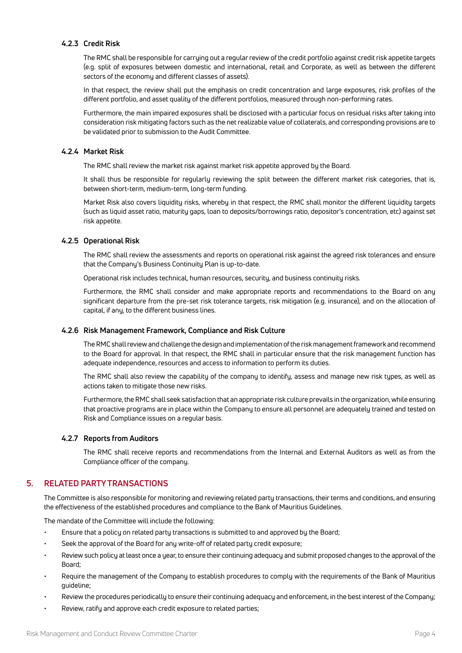## **4.2.3 Credit Risk**

The RMC shall be responsible for carrying out a regular review of the credit portfolio against credit risk appetite targets (e.g. split of exposures between domestic and international, retail and Corporate, as well as between the different sectors of the economy and different classes of assets).

In that respect, the review shall put the emphasis on credit concentration and large exposures, risk profiles of the different portfolio, and asset quality of the different portfolios, measured through non-performing rates.

Furthermore, the main impaired exposures shall be disclosed with a particular focus on residual risks after taking into consideration risk mitigating factors such as the net realizable value of collaterals, and corresponding provisions are to be validated prior to submission to the Audit Committee.

## **4.2.4 Market Risk**

The RMC shall review the market risk against market risk appetite approved by the Board.

It shall thus be responsible for regularly reviewing the split between the different market risk categories, that is, between short-term, medium-term, long-term funding.

Market Risk also covers liquidity risks, whereby in that respect, the RMC shall monitor the different liquidity targets (such as liquid asset ratio, maturity gaps, loan to deposits/borrowings ratio, depositor's concentration, etc) against set risk appetite.

## **4.2.5 Operational Risk**

The RMC shall review the assessments and reports on operational risk against the agreed risk tolerances and ensure that the Company's Business Continuity Plan is up-to-date.

Operational risk includes technical, human resources, security, and business continuity risks.

Furthermore, the RMC shall consider and make appropriate reports and recommendations to the Board on any significant departure from the pre-set risk tolerance targets, risk mitigation (e.g. insurance), and on the allocation of capital, if any, to the different business lines.

# **4.2.6 Risk Management Framework, Compliance and Risk Culture**

The RMC shall review and challenge the design and implementation of the risk management framework and recommend to the Board for approval. In that respect, the RMC shall in particular ensure that the risk management function has adequate independence, resources and access to information to perform its duties.

The RMC shall also review the capability of the company to identify, assess and manage new risk types, as well as actions taken to mitigate those new risks.

Furthermore, the RMC shall seek satisfaction that an appropriate risk culture prevails in the organization, while ensuring that proactive programs are in place within the Company to ensure all personnel are adequately trained and tested on Risk and Compliance issues on a regular basis.

## **4.2.7 Reports from Auditors**

The RMC shall receive reports and recommendations from the Internal and External Auditors as well as from the Compliance officer of the company.

# **5. RELATED PARTY TRANSACTIONS**

The Committee is also responsible for monitoring and reviewing related party transactions, their terms and conditions, and ensuring the effectiveness of the established procedures and compliance to the Bank of Mauritius Guidelines.

The mandate of the Committee will include the following:

- Ensure that a policy on related party transactions is submitted to and approved by the Board;
- Seek the approval of the Board for any write-off of related party credit exposure;
- Review such policy at least once a year, to ensure their continuing adequacy and submit proposed changes to the approval of the Board;
- Require the management of the Company to establish procedures to comply with the requirements of the Bank of Mauritius guideline;
- Review the procedures periodically to ensure their continuing adequacy and enforcement, in the best interest of the Company;
- Review, ratify and approve each credit exposure to related parties;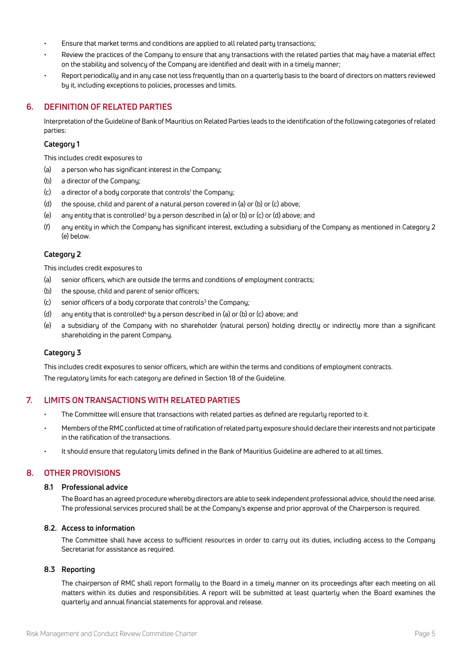- Ensure that market terms and conditions are applied to all related party transactions;
- Review the practices of the Company to ensure that any transactions with the related parties that may have a material effect on the stability and solvency of the Company are identified and dealt with in a timely manner;
- Report periodically and in any case not less frequently than on a quarterly basis to the board of directors on matters reviewed by it, including exceptions to policies, processes and limits.

# **6. DEFINITION OF RELATED PARTIES**

Interpretation of the Guideline of Bank of Mauritius on Related Parties leads to the identification of the following categories of related parties:

## **Category 1**

This includes credit exposures to

- (a) a person who has significant interest in the Company;
- (b) a director of the Company;
- (c) a director of a body corporate that controls<sup>1</sup> the Company;
- (d) the spouse, child and parent of a natural person covered in (a) or (b) or (c) above;
- (e)  $\quad$  any entity that is controlled<sup>2</sup> by a person described in (a) or (b) or (c) or (d) above; and
- (f) any entity in which the Company has significant interest, excluding a subsidiary of the Company as mentioned in Category 2 (e) below.

## **Category 2**

This includes credit exposures to

- (a) senior officers, which are outside the terms and conditions of employment contracts;
- (b) the spouse, child and parent of senior officers;
- (c) senior officers of a body corporate that controls<sup>3</sup> the Company;
- (d) any entity that is controlled<sup>4</sup> by a person described in (a) or (b) or (c) above; and
- (e) a subsidiary of the Company with no shareholder (natural person) holding directly or indirectly more than a significant shareholding in the parent Company.

## **Category 3**

This includes credit exposures to senior officers, which are within the terms and conditions of employment contracts. The regulatory limits for each category are defined in Section 18 of the Guideline.

# **7. LIMITS ON TRANSACTIONS WITH RELATED PARTIES**

- The Committee will ensure that transactions with related parties as defined are regularly reported to it.
- Members of the RMC conflicted at time of ratification of related party exposure should declare their interests and not participate in the ratification of the transactions.
- It should ensure that regulatory limits defined in the Bank of Mauritius Guideline are adhered to at all times.

# **8. OTHER PROVISIONS**

## **8.1 Professional advice**

The Board has an agreed procedure whereby directors are able to seek independent professional advice, should the need arise. The professional services procured shall be at the Company's expense and prior approval of the Chairperson is required.

## **8.2. Access to information**

The Committee shall have access to sufficient resources in order to carry out its duties, including access to the Company Secretariat for assistance as required.

## **8.3 Reporting**

The chairperson of RMC shall report formally to the Board in a timely manner on its proceedings after each meeting on all matters within its duties and responsibilities. A report will be submitted at least quarterly when the Board examines the quarterly and annual financial statements for approval and release.